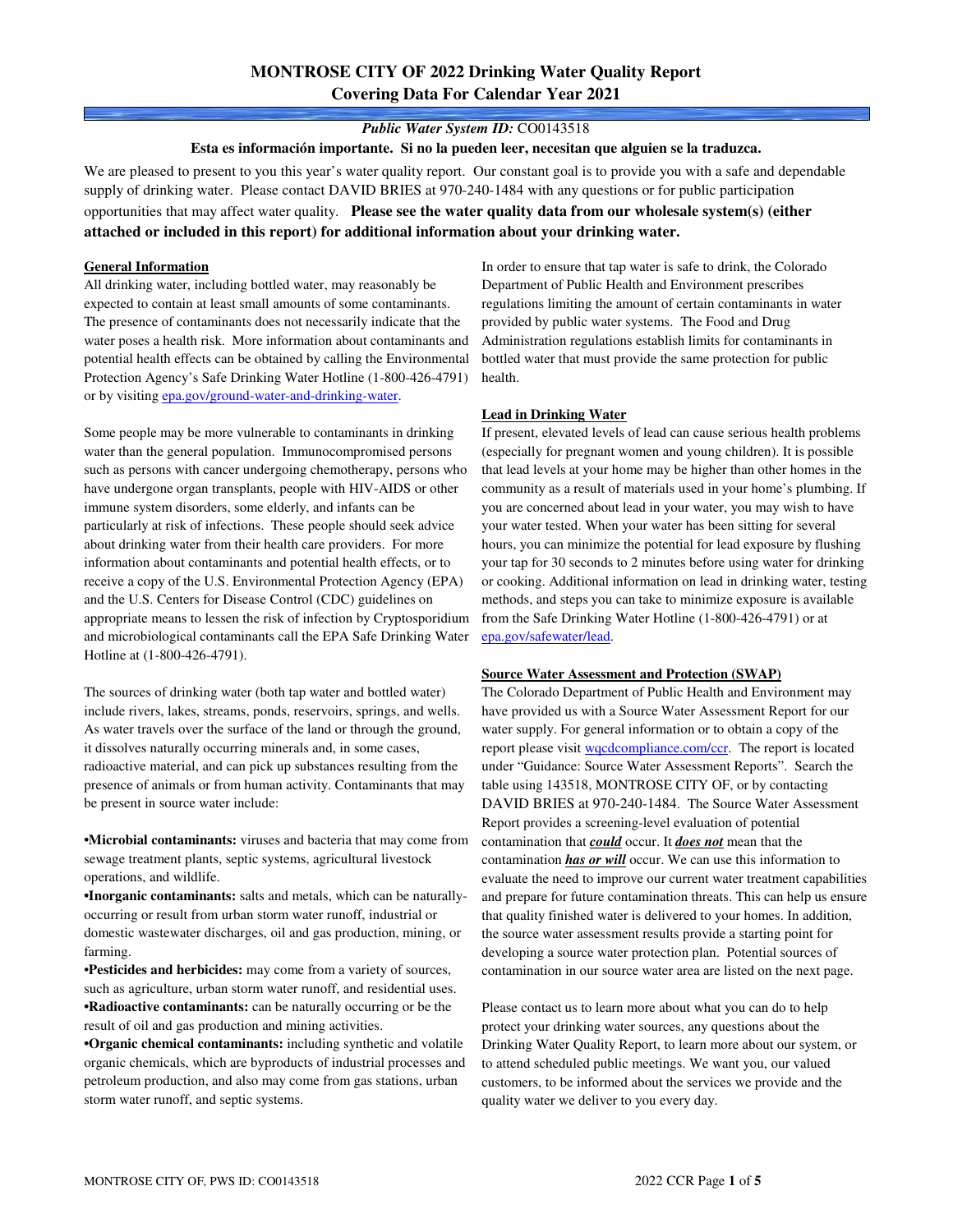# **MONTROSE CITY OF 2022 Drinking Water Quality Report Covering Data For Calendar Year 2021**

### *Public Water System ID:* CO0143518

**Esta es información importante. Si no la pueden leer, necesitan que alguien se la traduzca.**

We are pleased to present to you this year's water quality report. Our constant goal is to provide you with a safe and dependable supply of drinking water. Please contact DAVID BRIES at 970-240-1484 with any questions or for public participation opportunities that may affect water quality. **Please see the water quality data from our wholesale system(s) (either attached or included in this report) for additional information about your drinking water.**

#### **General Information**

All drinking water, including bottled water, may reasonably be expected to contain at least small amounts of some contaminants. The presence of contaminants does not necessarily indicate that the water poses a health risk. More information about contaminants and potential health effects can be obtained by calling the Environmental Protection Agency's Safe Drinking Water Hotline (1-800-426-4791) or by visiting epa.gov/ground-water-and-drinking-water.

Some people may be more vulnerable to contaminants in drinking water than the general population. Immunocompromised persons such as persons with cancer undergoing chemotherapy, persons who have undergone organ transplants, people with HIV-AIDS or other immune system disorders, some elderly, and infants can be particularly at risk of infections. These people should seek advice about drinking water from their health care providers. For more information about contaminants and potential health effects, or to receive a copy of the U.S. Environmental Protection Agency (EPA) and the U.S. Centers for Disease Control (CDC) guidelines on appropriate means to lessen the risk of infection by Cryptosporidium and microbiological contaminants call the EPA Safe Drinking Water Hotline at (1-800-426-4791).

The sources of drinking water (both tap water and bottled water) include rivers, lakes, streams, ponds, reservoirs, springs, and wells. As water travels over the surface of the land or through the ground, it dissolves naturally occurring minerals and, in some cases, radioactive material, and can pick up substances resulting from the presence of animals or from human activity. Contaminants that may be present in source water include:

**•Microbial contaminants:** viruses and bacteria that may come from sewage treatment plants, septic systems, agricultural livestock operations, and wildlife.

**•Inorganic contaminants:** salts and metals, which can be naturallyoccurring or result from urban storm water runoff, industrial or domestic wastewater discharges, oil and gas production, mining, or farming.

•**Pesticides and herbicides:** may come from a variety of sources, such as agriculture, urban storm water runoff, and residential uses. **•Radioactive contaminants:** can be naturally occurring or be the result of oil and gas production and mining activities.

**•Organic chemical contaminants:** including synthetic and volatile organic chemicals, which are byproducts of industrial processes and petroleum production, and also may come from gas stations, urban storm water runoff, and septic systems.

In order to ensure that tap water is safe to drink, the Colorado Department of Public Health and Environment prescribes regulations limiting the amount of certain contaminants in water provided by public water systems. The Food and Drug Administration regulations establish limits for contaminants in bottled water that must provide the same protection for public health.

#### **Lead in Drinking Water**

If present, elevated levels of lead can cause serious health problems (especially for pregnant women and young children). It is possible that lead levels at your home may be higher than other homes in the community as a result of materials used in your home's plumbing. If you are concerned about lead in your water, you may wish to have your water tested. When your water has been sitting for several hours, you can minimize the potential for lead exposure by flushing your tap for 30 seconds to 2 minutes before using water for drinking or cooking. Additional information on lead in drinking water, testing methods, and steps you can take to minimize exposure is available from the Safe Drinking Water Hotline (1-800-426-4791) or at epa.gov/safewater/lead.

### **Source Water Assessment and Protection (SWAP)**

The Colorado Department of Public Health and Environment may have provided us with a Source Water Assessment Report for our water supply. For general information or to obtain a copy of the report please visit wqcdcompliance.com/ccr. The report is located under "Guidance: Source Water Assessment Reports". Search the table using 143518, MONTROSE CITY OF, or by contacting DAVID BRIES at 970-240-1484. The Source Water Assessment Report provides a screening-level evaluation of potential contamination that *could* occur. It *does not* mean that the contamination *has or will* occur. We can use this information to evaluate the need to improve our current water treatment capabilities and prepare for future contamination threats. This can help us ensure that quality finished water is delivered to your homes. In addition, the source water assessment results provide a starting point for developing a source water protection plan. Potential sources of contamination in our source water area are listed on the next page.

Please contact us to learn more about what you can do to help protect your drinking water sources, any questions about the Drinking Water Quality Report, to learn more about our system, or to attend scheduled public meetings. We want you, our valued customers, to be informed about the services we provide and the quality water we deliver to you every day.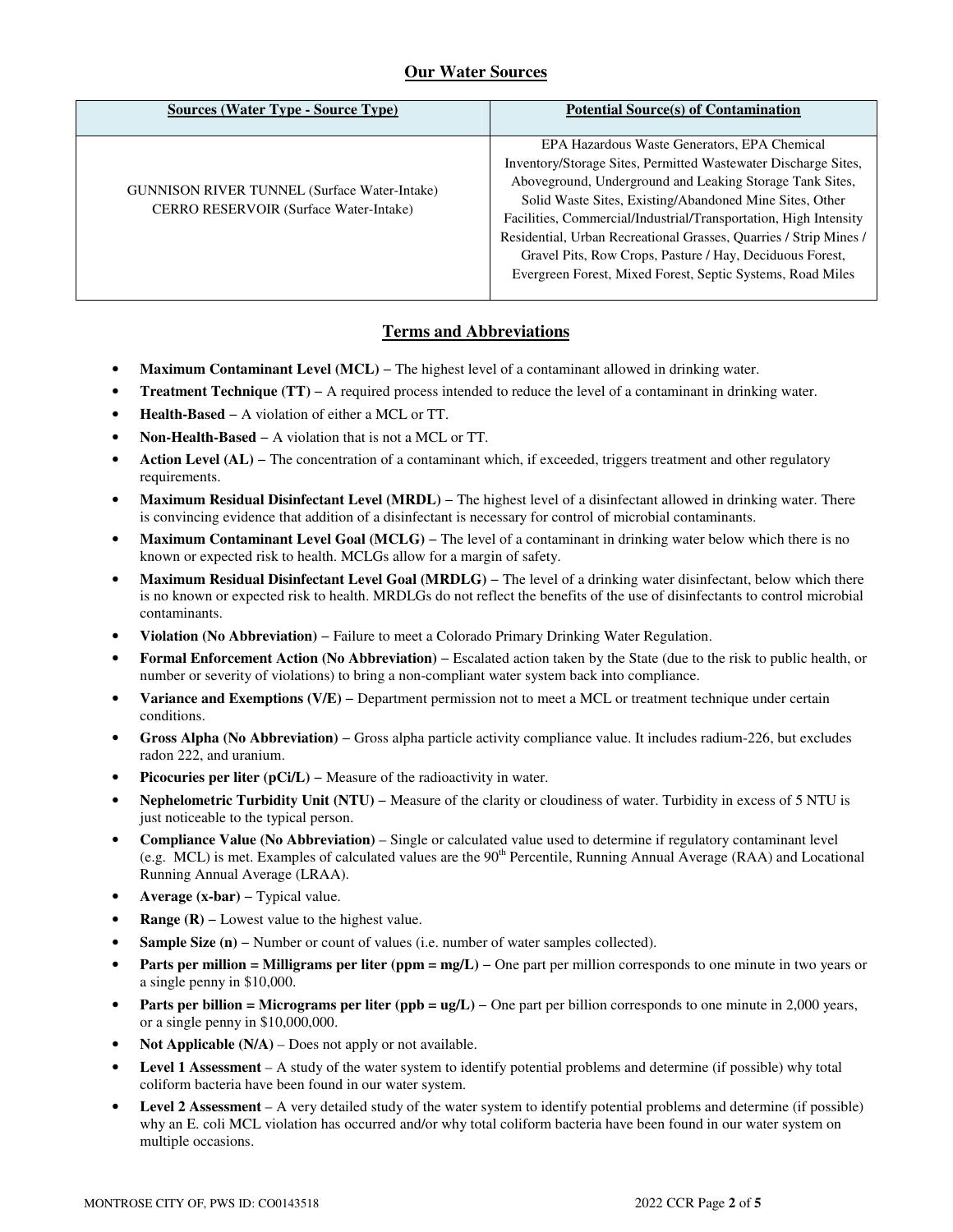## **Our Water Sources**

| <b>Sources (Water Type - Source Type)</b>                                                     | <b>Potential Source(s) of Contamination</b>                                                                                                                                                                                                                                                                                                                                                                                                                                                              |
|-----------------------------------------------------------------------------------------------|----------------------------------------------------------------------------------------------------------------------------------------------------------------------------------------------------------------------------------------------------------------------------------------------------------------------------------------------------------------------------------------------------------------------------------------------------------------------------------------------------------|
| <b>GUNNISON RIVER TUNNEL (Surface Water-Intake)</b><br>CERRO RESERVOIR (Surface Water-Intake) | EPA Hazardous Waste Generators, EPA Chemical<br>Inventory/Storage Sites, Permitted Wastewater Discharge Sites,<br>Aboveground, Underground and Leaking Storage Tank Sites,<br>Solid Waste Sites, Existing/Abandoned Mine Sites, Other<br>Facilities, Commercial/Industrial/Transportation, High Intensity<br>Residential, Urban Recreational Grasses, Quarries / Strip Mines /<br>Gravel Pits, Row Crops, Pasture / Hay, Deciduous Forest,<br>Evergreen Forest, Mixed Forest, Septic Systems, Road Miles |

## **Terms and Abbreviations**

- **Maximum Contaminant Level (MCL)** − The highest level of a contaminant allowed in drinking water.
- **Treatment Technique (TT)** − A required process intended to reduce the level of a contaminant in drinking water.
- **Health-Based** − A violation of either a MCL or TT.
- **Non-Health-Based** − A violation that is not a MCL or TT.
- **Action Level (AL)** − The concentration of a contaminant which, if exceeded, triggers treatment and other regulatory requirements.
- **Maximum Residual Disinfectant Level (MRDL)** − The highest level of a disinfectant allowed in drinking water. There is convincing evidence that addition of a disinfectant is necessary for control of microbial contaminants.
- **Maximum Contaminant Level Goal (MCLG)** − The level of a contaminant in drinking water below which there is no known or expected risk to health. MCLGs allow for a margin of safety.
- **Maximum Residual Disinfectant Level Goal (MRDLG)** − The level of a drinking water disinfectant, below which there is no known or expected risk to health. MRDLGs do not reflect the benefits of the use of disinfectants to control microbial contaminants.
- **Violation (No Abbreviation)** − Failure to meet a Colorado Primary Drinking Water Regulation.
- **Formal Enforcement Action (No Abbreviation)** − Escalated action taken by the State (due to the risk to public health, or number or severity of violations) to bring a non-compliant water system back into compliance.
- **Variance and Exemptions (V/E)** − Department permission not to meet a MCL or treatment technique under certain conditions.
- **Gross Alpha (No Abbreviation)** − Gross alpha particle activity compliance value. It includes radium-226, but excludes radon 222, and uranium.
- **Picocuries per liter (pCi/L)** − Measure of the radioactivity in water.
- **Nephelometric Turbidity Unit (NTU)** − Measure of the clarity or cloudiness of water. Turbidity in excess of 5 NTU is just noticeable to the typical person.
- **Compliance Value (No Abbreviation)** Single or calculated value used to determine if regulatory contaminant level (e.g. MCL) is met. Examples of calculated values are the  $90<sup>th</sup>$  Percentile, Running Annual Average (RAA) and Locational Running Annual Average (LRAA).
- **Average (x-bar)** − Typical value.
- **Range (R)** Lowest value to the highest value.
- **Sample Size (n)** − Number or count of values (i.e. number of water samples collected).
- **Parts per million = Milligrams per liter (ppm = mg/L)** One part per million corresponds to one minute in two years or a single penny in \$10,000.
- **Parts per billion = Micrograms per liter (ppb = ug/L)** − One part per billion corresponds to one minute in 2,000 years, or a single penny in \$10,000,000.
- **Not Applicable (N/A)** Does not apply or not available.
- **Level 1 Assessment** A study of the water system to identify potential problems and determine (if possible) why total coliform bacteria have been found in our water system.
- **Level 2 Assessment** A very detailed study of the water system to identify potential problems and determine (if possible) why an E. coli MCL violation has occurred and/or why total coliform bacteria have been found in our water system on multiple occasions.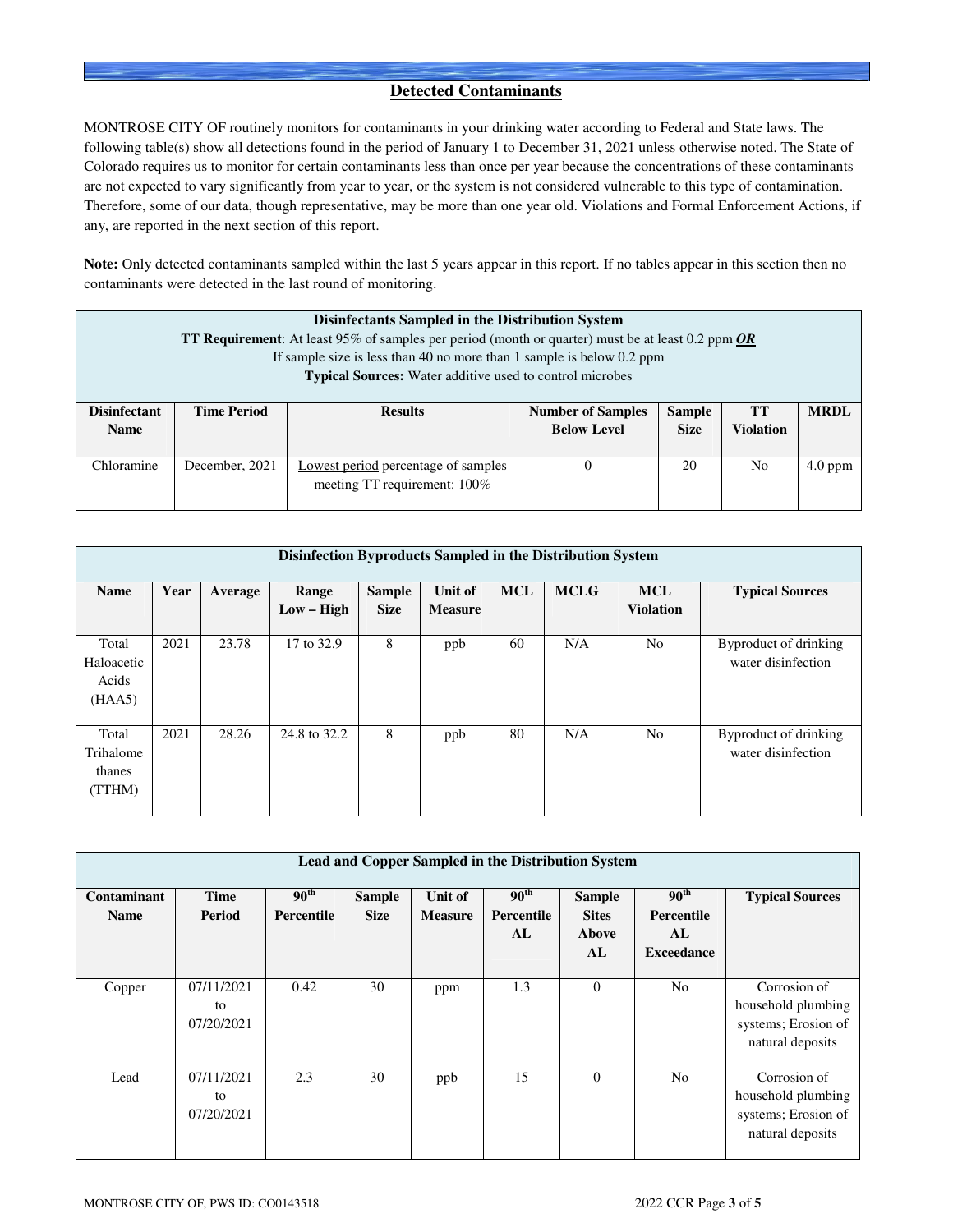### **Detected Contaminants**

MONTROSE CITY OF routinely monitors for contaminants in your drinking water according to Federal and State laws. The following table(s) show all detections found in the period of January 1 to December 31, 2021 unless otherwise noted. The State of Colorado requires us to monitor for certain contaminants less than once per year because the concentrations of these contaminants are not expected to vary significantly from year to year, or the system is not considered vulnerable to this type of contamination. Therefore, some of our data, though representative, may be more than one year old. Violations and Formal Enforcement Actions, if any, are reported in the next section of this report.

**Note:** Only detected contaminants sampled within the last 5 years appear in this report. If no tables appear in this section then no contaminants were detected in the last round of monitoring.

| Disinfectants Sampled in the Distribution System<br><b>TT Requirement:</b> At least 95% of samples per period (month or quarter) must be at least 0.2 ppm $OR$<br>If sample size is less than 40 no more than 1 sample is below 0.2 ppm<br><b>Typical Sources:</b> Water additive used to control microbes |                                      |                                                                     |                                                |                              |                               |             |  |  |  |
|------------------------------------------------------------------------------------------------------------------------------------------------------------------------------------------------------------------------------------------------------------------------------------------------------------|--------------------------------------|---------------------------------------------------------------------|------------------------------------------------|------------------------------|-------------------------------|-------------|--|--|--|
| <b>Disinfectant</b><br><b>Name</b>                                                                                                                                                                                                                                                                         | <b>Time Period</b><br><b>Results</b> |                                                                     | <b>Number of Samples</b><br><b>Below Level</b> | <b>Sample</b><br><b>Size</b> | <b>TT</b><br><b>Violation</b> | <b>MRDL</b> |  |  |  |
| Chloramine                                                                                                                                                                                                                                                                                                 | December, 2021                       | Lowest period percentage of samples<br>meeting TT requirement: 100% |                                                | 20                           | N <sub>0</sub>                | $4.0$ ppm   |  |  |  |

|                                        | Disinfection Byproducts Sampled in the Distribution System |         |                       |                              |                           |            |             |                                |                                             |  |  |
|----------------------------------------|------------------------------------------------------------|---------|-----------------------|------------------------------|---------------------------|------------|-------------|--------------------------------|---------------------------------------------|--|--|
| <b>Name</b>                            | Year                                                       | Average | Range<br>$Low - High$ | <b>Sample</b><br><b>Size</b> | Unit of<br><b>Measure</b> | <b>MCL</b> | <b>MCLG</b> | <b>MCL</b><br><b>Violation</b> | <b>Typical Sources</b>                      |  |  |
| Total<br>Haloacetic<br>Acids<br>(HAA5) | 2021                                                       | 23.78   | 17 to 32.9            | 8                            | ppb                       | 60         | N/A         | N <sub>0</sub>                 | Byproduct of drinking<br>water disinfection |  |  |
| Total<br>Trihalome<br>thanes<br>(TTHM) | 2021                                                       | 28.26   | 24.8 to 32.2          | 8                            | ppb                       | 80         | N/A         | N <sub>0</sub>                 | Byproduct of drinking<br>water disinfection |  |  |

| <b>Lead and Copper Sampled in the Distribution System</b> |                                |                                       |                              |                           |                                      |                                              |                                                           |                                                                               |  |  |
|-----------------------------------------------------------|--------------------------------|---------------------------------------|------------------------------|---------------------------|--------------------------------------|----------------------------------------------|-----------------------------------------------------------|-------------------------------------------------------------------------------|--|--|
| Contaminant<br><b>Name</b>                                | Time<br>Period                 | 90 <sup>th</sup><br><b>Percentile</b> | <b>Sample</b><br><b>Size</b> | Unit of<br><b>Measure</b> | $90^{\text{th}}$<br>Percentile<br>AL | <b>Sample</b><br><b>Sites</b><br>Above<br>AL | 90 <sup>th</sup><br>Percentile<br>AL<br><b>Exceedance</b> | <b>Typical Sources</b>                                                        |  |  |
| Copper                                                    | 07/11/2021<br>to<br>07/20/2021 | 0.42                                  | 30                           | ppm                       | 1.3                                  | $\theta$                                     | N <sub>o</sub>                                            | Corrosion of<br>household plumbing<br>systems; Erosion of<br>natural deposits |  |  |
| Lead                                                      | 07/11/2021<br>to<br>07/20/2021 | 2.3                                   | 30                           | ppb                       | 15                                   | $\Omega$                                     | N <sub>0</sub>                                            | Corrosion of<br>household plumbing<br>systems; Erosion of<br>natural deposits |  |  |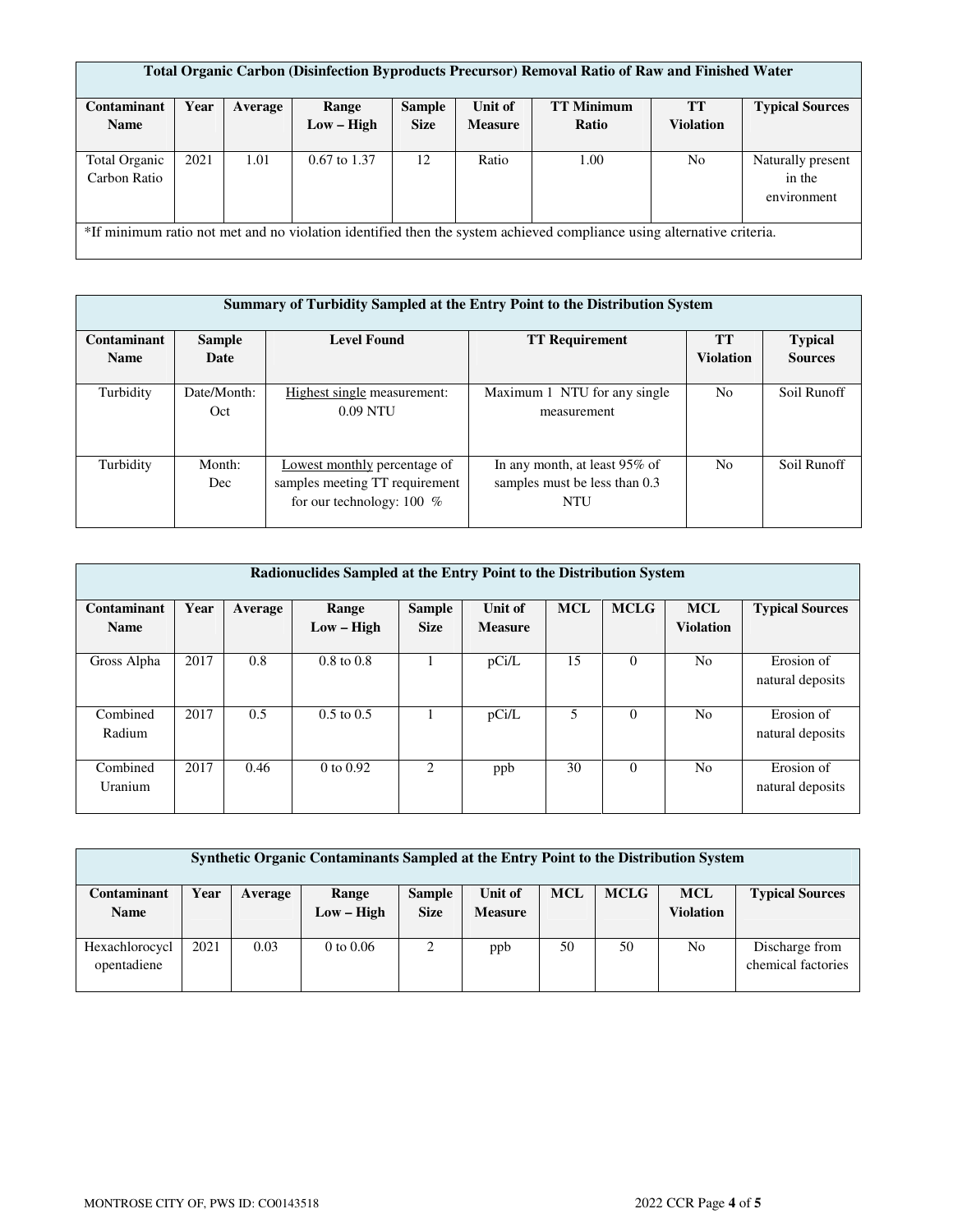| <b>Total Organic Carbon (Disinfection Byproducts Precursor) Removal Ratio of Raw and Finished Water</b> |                                                                                                                       |         |                  |               |                |                   |                  |                        |  |  |  |
|---------------------------------------------------------------------------------------------------------|-----------------------------------------------------------------------------------------------------------------------|---------|------------------|---------------|----------------|-------------------|------------------|------------------------|--|--|--|
|                                                                                                         |                                                                                                                       |         |                  |               |                |                   |                  |                        |  |  |  |
| Contaminant                                                                                             | Year                                                                                                                  | Average | Range            | <b>Sample</b> | Unit of        | <b>TT Minimum</b> | <b>TT</b>        | <b>Typical Sources</b> |  |  |  |
| <b>Name</b>                                                                                             |                                                                                                                       |         | $Low - High$     | <b>Size</b>   | <b>Measure</b> | Ratio             | <b>Violation</b> |                        |  |  |  |
|                                                                                                         |                                                                                                                       |         |                  |               |                |                   |                  |                        |  |  |  |
| <b>Total Organic</b>                                                                                    | 2021                                                                                                                  | 1.01    | $0.67$ to $1.37$ | 12            | Ratio          | 1.00              | N <sub>0</sub>   | Naturally present      |  |  |  |
| Carbon Ratio                                                                                            |                                                                                                                       |         |                  |               |                |                   |                  | in the                 |  |  |  |
|                                                                                                         |                                                                                                                       |         |                  |               |                |                   |                  | environment            |  |  |  |
|                                                                                                         |                                                                                                                       |         |                  |               |                |                   |                  |                        |  |  |  |
|                                                                                                         | *If minimum ratio not met and no violation identified then the system achieved compliance using alternative criteria. |         |                  |               |                |                   |                  |                        |  |  |  |
|                                                                                                         |                                                                                                                       |         |                  |               |                |                   |                  |                        |  |  |  |

|                            | <b>Summary of Turbidity Sampled at the Entry Point to the Distribution System</b> |                                                                                               |                                                                              |                               |                                  |  |  |  |  |  |  |
|----------------------------|-----------------------------------------------------------------------------------|-----------------------------------------------------------------------------------------------|------------------------------------------------------------------------------|-------------------------------|----------------------------------|--|--|--|--|--|--|
| Contaminant<br><b>Name</b> | <b>Sample</b><br>Date                                                             | <b>Level Found</b>                                                                            | <b>TT Requirement</b>                                                        | <b>TT</b><br><b>Violation</b> | <b>Typical</b><br><b>Sources</b> |  |  |  |  |  |  |
| Turbidity                  | Date/Month:<br>Oct                                                                | Highest single measurement:<br>$0.09$ NTU                                                     | Maximum 1 NTU for any single<br>measurement                                  | N <sub>0</sub>                | Soil Runoff                      |  |  |  |  |  |  |
| Turbidity                  | Month:<br>Dec                                                                     | Lowest monthly percentage of<br>samples meeting TT requirement<br>for our technology: $100\%$ | In any month, at least 95% of<br>samples must be less than 0.3<br><b>NTU</b> | N <sub>0</sub>                | Soil Runoff                      |  |  |  |  |  |  |

| Radionuclides Sampled at the Entry Point to the Distribution System |      |         |                       |                              |                           |            |             |                                |                                |  |  |
|---------------------------------------------------------------------|------|---------|-----------------------|------------------------------|---------------------------|------------|-------------|--------------------------------|--------------------------------|--|--|
| Contaminant<br><b>Name</b>                                          | Year | Average | Range<br>$Low - High$ | <b>Sample</b><br><b>Size</b> | Unit of<br><b>Measure</b> | <b>MCL</b> | <b>MCLG</b> | <b>MCL</b><br><b>Violation</b> | <b>Typical Sources</b>         |  |  |
| Gross Alpha                                                         | 2017 | 0.8     | $0.8$ to $0.8$        |                              | pCi/L                     | 15         | $\Omega$    | No                             | Erosion of<br>natural deposits |  |  |
| Combined<br>Radium                                                  | 2017 | 0.5     | $0.5 \text{ to } 0.5$ |                              | pCi/L                     | 5          | $\theta$    | N <sub>o</sub>                 | Erosion of<br>natural deposits |  |  |
| Combined<br>Uranium                                                 | 2017 | 0.46    | 0 to 0.92             | 2                            | ppb                       | 30         | $\theta$    | N <sub>o</sub>                 | Erosion of<br>natural deposits |  |  |

| Synthetic Organic Contaminants Sampled at the Entry Point to the Distribution System |      |         |                       |                              |                           |            |             |                                |                                      |  |
|--------------------------------------------------------------------------------------|------|---------|-----------------------|------------------------------|---------------------------|------------|-------------|--------------------------------|--------------------------------------|--|
| Contaminant<br><b>Name</b>                                                           | Year | Average | Range<br>$Low - High$ | <b>Sample</b><br><b>Size</b> | Unit of<br><b>Measure</b> | <b>MCL</b> | <b>MCLG</b> | <b>MCL</b><br><b>Violation</b> | <b>Typical Sources</b>               |  |
| Hexachlorocycl<br>opentadiene                                                        | 2021 | 0.03    | 0 to $0.06$           | 2                            | ppb                       | 50         | 50          | No                             | Discharge from<br>chemical factories |  |